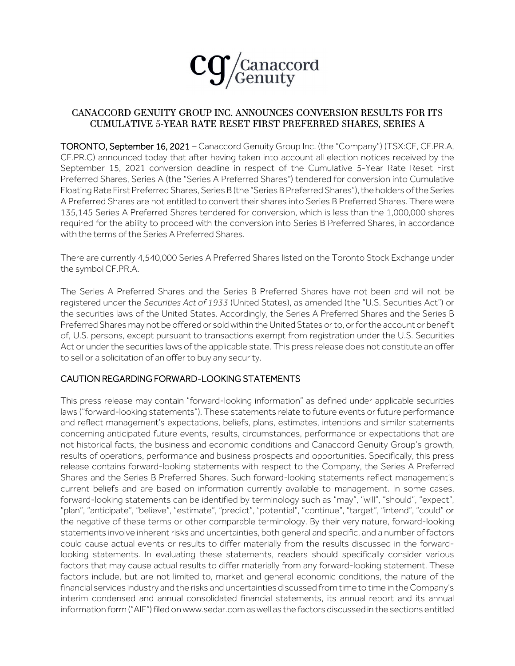

## CANACCORD GENUITY GROUP INC. ANNOUNCES CONVERSION RESULTS FOR ITS CUMULATIVE 5-YEAR RATE RESET FIRST PREFERRED SHARES, SERIES A

TORONTO, September 16, 2021 – Canaccord Genuity Group Inc. (the "Company") (TSX:CF, CF.PR.A, CF.PR.C) announced today that after having taken into account all election notices received by the September 15, 2021 conversion deadline in respect of the Cumulative 5-Year Rate Reset First Preferred Shares, Series A (the "Series A Preferred Shares") tendered for conversion into Cumulative Floating Rate First Preferred Shares, Series B (the "Series B Preferred Shares"), the holders of the Series A Preferred Shares are not entitled to convert their shares into Series B Preferred Shares. There were 135,145 Series A Preferred Shares tendered for conversion, which is less than the 1,000,000 shares required for the ability to proceed with the conversion into Series B Preferred Shares, in accordance with the terms of the Series A Preferred Shares.

There are currently 4,540,000 Series A Preferred Shares listed on the Toronto Stock Exchange under the symbol CF.PR.A.

The Series A Preferred Shares and the Series B Preferred Shares have not been and will not be registered under the *Securities Act of 1933* (United States), as amended (the "U.S. Securities Act") or the securities laws of the United States. Accordingly, the Series A Preferred Shares and the Series B Preferred Shares may not be offered or sold within the United States or to, or for the account or benefit of, U.S. persons, except pursuant to transactions exempt from registration under the U.S. Securities Act or under the securities laws of the applicable state. This press release does not constitute an offer to sell or a solicitation of an offer to buy any security.

## CAUTION REGARDING FORWARD-LOOKING STATEMENTS

This press release may contain "forward-looking information" as defined under applicable securities laws ("forward-looking statements"). These statements relate to future events or future performance and reflect management's expectations, beliefs, plans, estimates, intentions and similar statements concerning anticipated future events, results, circumstances, performance or expectations that are not historical facts, the business and economic conditions and Canaccord Genuity Group's growth, results of operations, performance and business prospects and opportunities. Specifically, this press release contains forward-looking statements with respect to the Company, the Series A Preferred Shares and the Series B Preferred Shares. Such forward-looking statements reflect management's current beliefs and are based on information currently available to management. In some cases, forward-looking statements can be identified by terminology such as "may", "will", "should", "expect", "plan", "anticipate", "believe", "estimate", "predict", "potential", "continue", "target", "intend", "could" or the negative of these terms or other comparable terminology. By their very nature, forward-looking statements involve inherent risks and uncertainties, both general and specific, and a number of factors could cause actual events or results to differ materially from the results discussed in the forwardlooking statements. In evaluating these statements, readers should specifically consider various factors that may cause actual results to differ materially from any forward-looking statement. These factors include, but are not limited to, market and general economic conditions, the nature of the financial services industry and the risks and uncertainties discussed from time to time in the Company's interim condensed and annual consolidated financial statements, its annual report and its annual information form ("AIF") filed on www.sedar.com as well as the factors discussed in the sections entitled